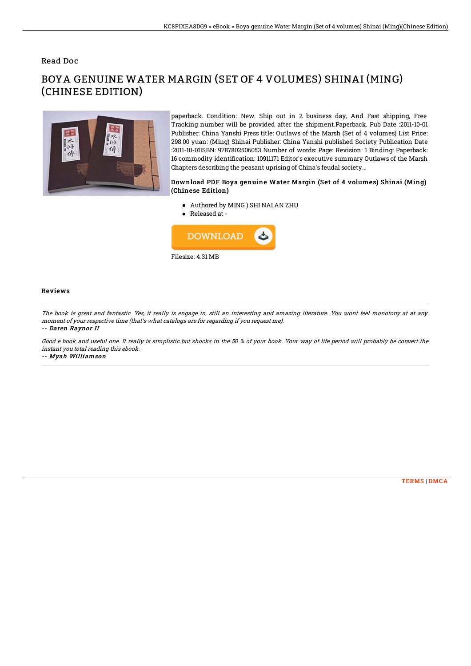### Read Doc

# BOYA GENUINE WATER MARGIN (SET OF 4 VOLUMES) SHINAI (MING) (CHINESE EDITION)



paperback. Condition: New. Ship out in 2 business day, And Fast shipping, Free Tracking number will be provided after the shipment.Paperback. Pub Date :2011-10-01 Publisher: China Yanshi Press title: Outlaws of the Marsh (Set of 4 volumes) List Price: 298.00 yuan: (Ming) Shinai Publisher: China Yanshi published Society Publication Date :2011-10-01ISBN: 9787802506053 Number of words: Page: Revision: 1 Binding: Paperback: 16 commodity identification: 10911171 Editor's executive summary Outlaws of the Marsh Chapters describing the peasant uprising of China's feudal society...

#### Download PDF Boya genuine Water Margin (Set of 4 volumes) Shinai (Ming) (Chinese Edition)

- Authored by MING ) SHI NAI AN ZHU
- Released at -



#### Reviews

The book is great and fantastic. Yes, it really is engage in, still an interesting and amazing literature. You wont feel monotony at at any moment of your respective time (that's what catalogs are for regarding if you request me). -- Daren Raynor II

Good <sup>e</sup> book and useful one. It really is simplistic but shocks in the 50 % of your book. Your way of life period will probably be convert the instant you total reading this ebook.

-- Myah Williamson